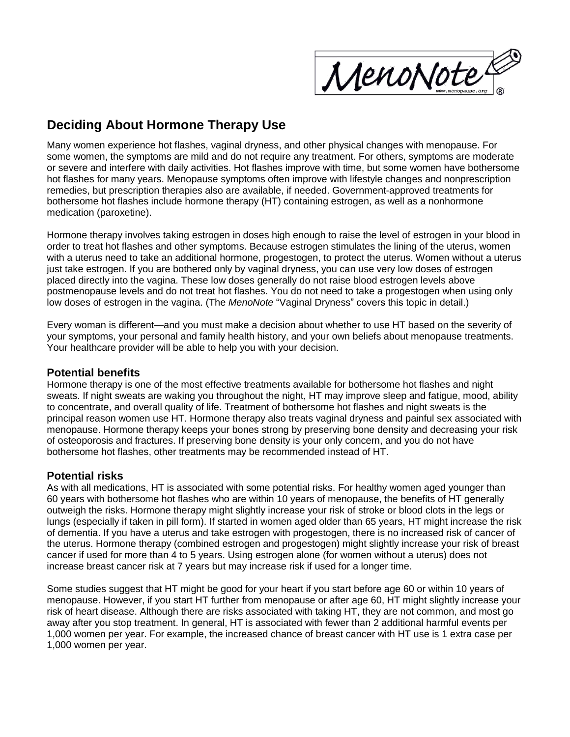MenoNote

# **Deciding About Hormone Therapy Use**

Many women experience hot flashes, vaginal dryness, and other physical changes with menopause. For some women, the symptoms are mild and do not require any treatment. For others, symptoms are moderate or severe and interfere with daily activities. Hot flashes improve with time, but some women have bothersome hot flashes for many years. Menopause symptoms often improve with lifestyle changes and nonprescription remedies, but prescription therapies also are available, if needed. Government-approved treatments for bothersome hot flashes include hormone therapy (HT) containing estrogen, as well as a nonhormone medication (paroxetine).

Hormone therapy involves taking estrogen in doses high enough to raise the level of estrogen in your blood in order to treat hot flashes and other symptoms. Because estrogen stimulates the lining of the uterus, women with a uterus need to take an additional hormone, progestogen, to protect the uterus. Women without a uterus just take estrogen. If you are bothered only by vaginal dryness, you can use very low doses of estrogen placed directly into the vagina. These low doses generally do not raise blood estrogen levels above postmenopause levels and do not treat hot flashes. You do not need to take a progestogen when using only low doses of estrogen in the vagina. (The *MenoNote* "Vaginal Dryness" covers this topic in detail.)

Every woman is different—and you must make a decision about whether to use HT based on the severity of your symptoms, your personal and family health history, and your own beliefs about menopause treatments. Your healthcare provider will be able to help you with your decision.

## **Potential benefits**

Hormone therapy is one of the most effective treatments available for bothersome hot flashes and night sweats. If night sweats are waking you throughout the night, HT may improve sleep and fatigue, mood, ability to concentrate, and overall quality of life. Treatment of bothersome hot flashes and night sweats is the principal reason women use HT. Hormone therapy also treats vaginal dryness and painful sex associated with menopause. Hormone therapy keeps your bones strong by preserving bone density and decreasing your risk of osteoporosis and fractures. If preserving bone density is your only concern, and you do not have bothersome hot flashes, other treatments may be recommended instead of HT.

# **Potential risks**

As with all medications, HT is associated with some potential risks. For healthy women aged younger than 60 years with bothersome hot flashes who are within 10 years of menopause, the benefits of HT generally outweigh the risks. Hormone therapy might slightly increase your risk of stroke or blood clots in the legs or lungs (especially if taken in pill form). If started in women aged older than 65 years, HT might increase the risk of dementia. If you have a uterus and take estrogen with progestogen, there is no increased risk of cancer of the uterus. Hormone therapy (combined estrogen and progestogen) might slightly increase your risk of breast cancer if used for more than 4 to 5 years. Using estrogen alone (for women without a uterus) does not increase breast cancer risk at 7 years but may increase risk if used for a longer time.

Some studies suggest that HT might be good for your heart if you start before age 60 or within 10 years of menopause. However, if you start HT further from menopause or after age 60, HT might slightly increase your risk of heart disease. Although there are risks associated with taking HT, they are not common, and most go away after you stop treatment. In general, HT is associated with fewer than 2 additional harmful events per 1,000 women per year. For example, the increased chance of breast cancer with HT use is 1 extra case per 1,000 women per year.